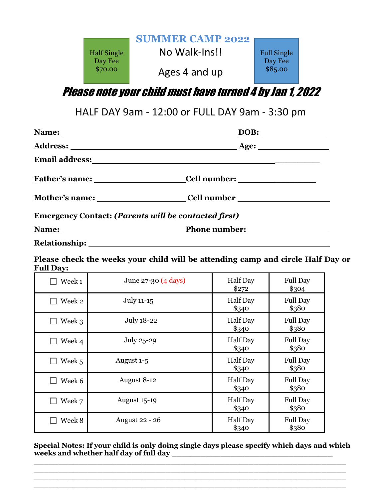

Please note your child must have turned 4 by Jan 1, 2022

HALF DAY 9am - 12:00 or FULL DAY 9am - 3:30 pm

| <b>Emergency Contact: (Parents will be contacted first)</b> |                                  |  |  |
|-------------------------------------------------------------|----------------------------------|--|--|
|                                                             | Name: <u>Name: Phone number:</u> |  |  |
|                                                             |                                  |  |  |

**Please check the weeks your child will be attending camp and circle Half Day or Full Day:**

| Week 1 | June 27-30 (4 days)   | <b>Half</b> Day<br>\$272 | <b>Full Day</b><br>\$304 |
|--------|-----------------------|--------------------------|--------------------------|
| Week 2 | July 11-15            | Half Day<br>\$340        | <b>Full Day</b><br>\$380 |
| Week 3 | July 18-22            | <b>Half</b> Day<br>\$340 | <b>Full Day</b><br>\$380 |
| Week 4 | July 25-29            | <b>Half</b> Day<br>\$340 | <b>Full Day</b><br>\$380 |
| Week 5 | August 1-5            | <b>Half</b> Day<br>\$340 | <b>Full Day</b><br>\$380 |
| Week 6 | August 8-12           | <b>Half</b> Day<br>\$340 | <b>Full Day</b><br>\$380 |
| Week 7 | <b>August 15-19</b>   | <b>Half</b> Day<br>\$340 | <b>Full Day</b><br>\$380 |
| Week 8 | <b>August 22 - 26</b> | Half Day<br>\$340        | <b>Full Day</b><br>\$380 |

**Special Notes: If your child is only doing single days please specify which days and which**  weeks and whether half day of full day

**\_\_\_\_\_\_\_\_\_\_\_\_\_\_\_\_\_\_\_\_\_\_\_\_\_\_\_\_\_\_\_\_\_\_\_\_\_\_\_\_\_\_\_\_\_\_\_\_\_\_\_\_\_\_\_\_\_\_\_\_\_\_\_\_ \_\_\_\_\_\_\_\_\_\_\_\_\_\_\_\_\_\_\_\_\_\_\_\_\_\_\_\_\_\_\_\_\_\_\_\_\_\_\_\_\_\_\_\_\_\_\_\_\_\_\_\_\_\_\_\_\_\_\_\_\_\_\_\_ \_\_\_\_\_\_\_\_\_\_\_\_\_\_\_\_\_\_\_\_\_\_\_\_\_\_\_\_\_\_\_\_\_\_\_\_\_\_\_\_\_\_\_\_\_\_\_\_\_\_\_\_\_\_\_\_\_\_\_\_\_\_\_\_ \_\_\_\_\_\_\_\_\_\_\_\_\_\_\_\_\_\_\_\_\_\_\_\_\_\_\_\_\_\_\_\_\_\_\_\_\_\_\_\_\_\_\_\_\_\_\_\_\_\_\_\_\_\_\_\_\_\_\_\_\_\_\_\_**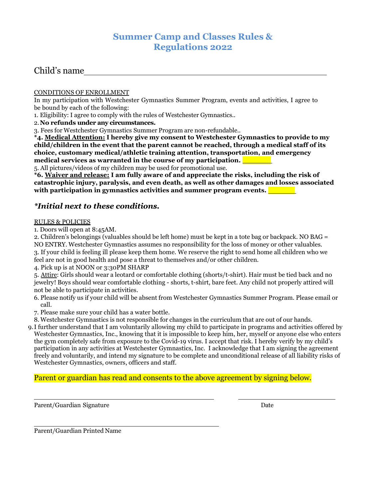## **Summer Camp and Classes Rules & Regulations 2022**

## Child's name

#### CONDITIONS OF ENROLLMENT

In my participation with Westchester Gymnastics Summer Program, events and activities, I agree to be bound by each of the following:

1. Eligibility: I agree to comply with the rules of Westchester Gymnastics..

2.**No refunds under any circumstances.**

3. Fees for Westchester Gymnastics Summer Program are non-refundable..

**\*4. Medical Attention: I hereby give my consent to Westchester Gymnastics to provide to my child/children in the event that the parent cannot be reached, through a medical staff of its choice, customary medical/athletic training attention, transportation, and emergency medical services as warranted in the course of my participation.** 

5. All pictures/videos of my children may be used for promotional use.

**\*6. Waiver and release: I am fully aware of and appreciate the risks, including the risk of catastrophic injury, paralysis, and even death, as well as other damages and losses associated with participation in gymnastics activities and summer program events.** 

### *\*Initial next to these conditions.*

#### RULES & POLICIES

1. Doors will open at 8:45AM.

2. Children's belongings (valuables should be left home) must be kept in a tote bag or backpack. NO BAG = NO ENTRY. Westchester Gymnastics assumes no responsibility for the loss of money or other valuables. 3. If your child is feeling ill please keep them home. We reserve the right to send home all children who we feel are not in good health and pose a threat to themselves and/or other children.

4. Pick up is at NOON or 3:30PM SHARP

5. Attire: Girls should wear a leotard or comfortable clothing (shorts/t-shirt). Hair must be tied back and no jewelry! Boys should wear comfortable clothing - shorts, t-shirt, bare feet. Any child not properly attired will not be able to participate in activities.

- 6. Please notify us if your child will be absent from Westchester Gymnastics Summer Program. Please email or call.
- 7. Please make sure your child has a water bottle.

8. Westchester Gymnastics is not responsible for changes in the curriculum that are out of our hands.

9.I further understand that I am voluntarily allowing my child to participate in programs and activities offered by Westchester Gymnastics, Inc., knowing that it is impossible to keep him, her, myself or anyone else who enters the gym completely safe from exposure to the Covid-19 virus. I accept that risk. I hereby verify by my child's participation in any activities at Westchester Gymnastics, Inc. I acknowledge that I am signing the agreement freely and voluntarily, and intend my signature to be complete and unconditional release of all liability risks of Westchester Gymnastics, owners, officers and staff.

Parent or guardian has read and consents to the above agreement by signing below.

Parent/Guardian Signature Date Date Date Date Date Date

Parent/Guardian Printed Name